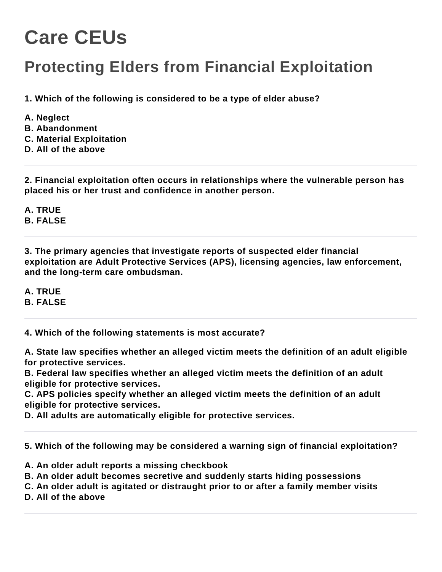## **Care CEUs**

## **Protecting Elders from Financial Exploitation**

**1. Which of the following is considered to be a type of elder abuse?**

- **A. Neglect**
- **B. Abandonment**
- **C. Material Exploitation**
- **D. All of the above**

**2. Financial exploitation often occurs in relationships where the vulnerable person has placed his or her trust and confidence in another person.**

**A. TRUE B. FALSE**

**3. The primary agencies that investigate reports of suspected elder financial exploitation are Adult Protective Services (APS), licensing agencies, law enforcement, and the long-term care ombudsman.**

**A. TRUE B. FALSE**

**4. Which of the following statements is most accurate?**

**A. State law specifies whether an alleged victim meets the definition of an adult eligible for protective services.**

**B. Federal law specifies whether an alleged victim meets the definition of an adult eligible for protective services.**

**C. APS policies specify whether an alleged victim meets the definition of an adult eligible for protective services.**

**D. All adults are automatically eligible for protective services.**

**5. Which of the following may be considered a warning sign of financial exploitation?**

- **A. An older adult reports a missing checkbook**
- **B. An older adult becomes secretive and suddenly starts hiding possessions**
- **C. An older adult is agitated or distraught prior to or after a family member visits**

**D. All of the above**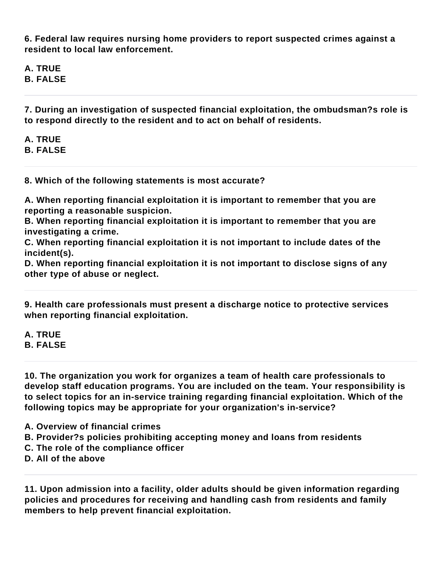**6. Federal law requires nursing home providers to report suspected crimes against a resident to local law enforcement.**

**A. TRUE B. FALSE**

**7. During an investigation of suspected financial exploitation, the ombudsman?s role is to respond directly to the resident and to act on behalf of residents.**

**A. TRUE B. FALSE**

**8. Which of the following statements is most accurate?**

**A. When reporting financial exploitation it is important to remember that you are reporting a reasonable suspicion.**

**B. When reporting financial exploitation it is important to remember that you are investigating a crime.**

**C. When reporting financial exploitation it is not important to include dates of the incident(s).**

**D. When reporting financial exploitation it is not important to disclose signs of any other type of abuse or neglect.**

**9. Health care professionals must present a discharge notice to protective services when reporting financial exploitation.**

**A. TRUE B. FALSE**

**10. The organization you work for organizes a team of health care professionals to develop staff education programs. You are included on the team. Your responsibility is to select topics for an in-service training regarding financial exploitation. Which of the following topics may be appropriate for your organization's in-service?**

**A. Overview of financial crimes**

- **B. Provider?s policies prohibiting accepting money and loans from residents**
- **C. The role of the compliance officer**
- **D. All of the above**

**11. Upon admission into a facility, older adults should be given information regarding policies and procedures for receiving and handling cash from residents and family members to help prevent financial exploitation.**